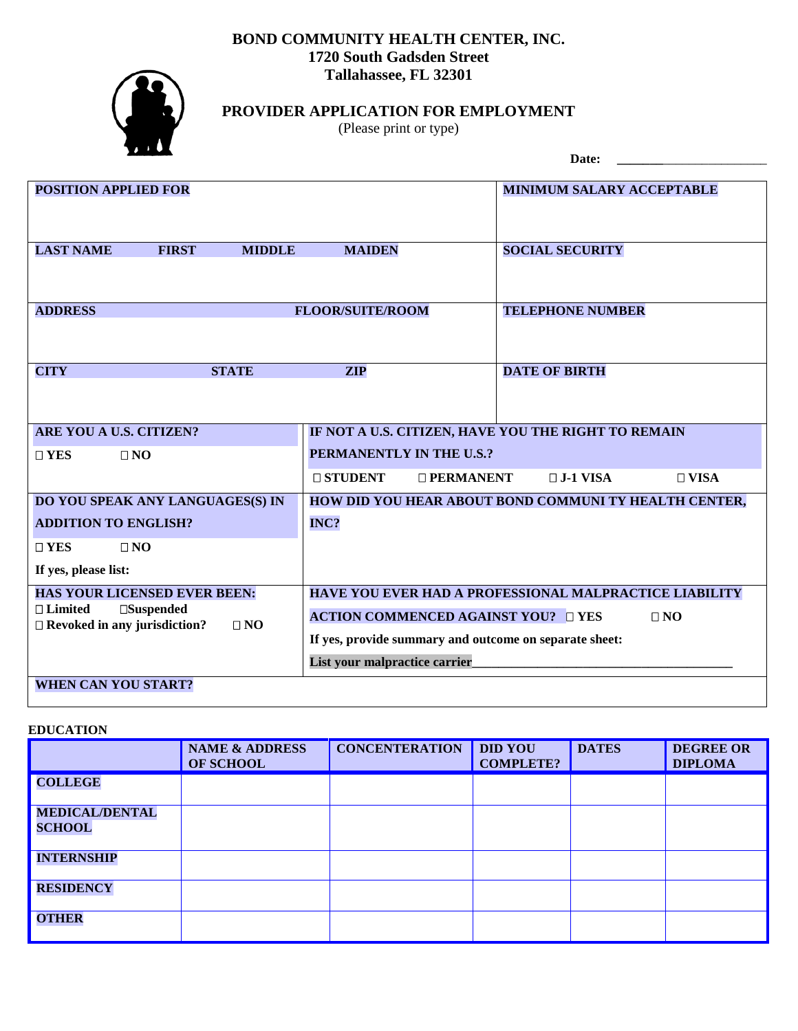## **BOND COMMUNITY HEALTH CENTER, INC. 1720 South Gadsden Street Tallahassee, FL 32301**



# **PROVIDER APPLICATION FOR EMPLOYMENT**

(Please print or type)

Date:

| <b>POSITION APPLIED FOR</b>                                                               |                                                        | <b>MINIMUM SALARY ACCEPTABLE</b>                      |  |  |
|-------------------------------------------------------------------------------------------|--------------------------------------------------------|-------------------------------------------------------|--|--|
| <b>LAST NAME</b><br><b>FIRST</b><br><b>MIDDLE</b>                                         | <b>MAIDEN</b>                                          | <b>SOCIAL SECURITY</b>                                |  |  |
|                                                                                           |                                                        |                                                       |  |  |
| <b>ADDRESS</b>                                                                            | <b>FLOOR/SUITE/ROOM</b>                                | <b>TELEPHONE NUMBER</b>                               |  |  |
|                                                                                           |                                                        |                                                       |  |  |
| <b>STATE</b><br><b>CITY</b>                                                               | <b>ZIP</b>                                             | <b>DATE OF BIRTH</b>                                  |  |  |
|                                                                                           |                                                        |                                                       |  |  |
| ARE YOU A U.S. CITIZEN?                                                                   | IF NOT A U.S. CITIZEN, HAVE YOU THE RIGHT TO REMAIN    |                                                       |  |  |
| $\square$ YES<br>$\Box$ NO                                                                | PERMANENTLY IN THE U.S.?                               |                                                       |  |  |
|                                                                                           | $\sqcap$ STUDENT<br>$\Box$ PERMANENT                   | $\Box$ J-1 VISA<br>$\Box$ VISA                        |  |  |
| DO YOU SPEAK ANY LANGUAGES(S) IN                                                          |                                                        | HOW DID YOU HEAR ABOUT BOND COMMUNI TY HEALTH CENTER, |  |  |
| <b>ADDITION TO ENGLISH?</b>                                                               | INC?                                                   |                                                       |  |  |
| $\square$ YES<br>$\square$ NO                                                             |                                                        |                                                       |  |  |
| If yes, please list:                                                                      |                                                        |                                                       |  |  |
| <b>HAS YOUR LICENSED EVER BEEN:</b>                                                       | HAVE YOU EVER HAD A PROFESSIONAL MALPRACTICE LIABILITY |                                                       |  |  |
| $\Box$ Limited<br>$\square$ Suspended<br>$\Box$ Revoked in any jurisdiction?<br>$\Box$ NO | <b>ACTION COMMENCED AGAINST YOU?</b> OYES<br>$\Box$ NO |                                                       |  |  |
|                                                                                           | If yes, provide summary and outcome on separate sheet: |                                                       |  |  |
|                                                                                           | List your malpractice carrier                          |                                                       |  |  |
| <b>WHEN CAN YOU START?</b>                                                                |                                                        |                                                       |  |  |

## **EDUCATION**

|                                        | <b>NAME &amp; ADDRESS</b><br><b>OF SCHOOL</b> | <b>CONCENTERATION</b> | <b>DID YOU</b><br><b>COMPLETE?</b> | <b>DATES</b> | <b>DEGREE OR</b><br><b>DIPLOMA</b> |
|----------------------------------------|-----------------------------------------------|-----------------------|------------------------------------|--------------|------------------------------------|
| <b>COLLEGE</b>                         |                                               |                       |                                    |              |                                    |
| <b>MEDICAL/DENTAL</b><br><b>SCHOOL</b> |                                               |                       |                                    |              |                                    |
| <b>INTERNSHIP</b>                      |                                               |                       |                                    |              |                                    |
| <b>RESIDENCY</b>                       |                                               |                       |                                    |              |                                    |
| <b>OTHER</b>                           |                                               |                       |                                    |              |                                    |